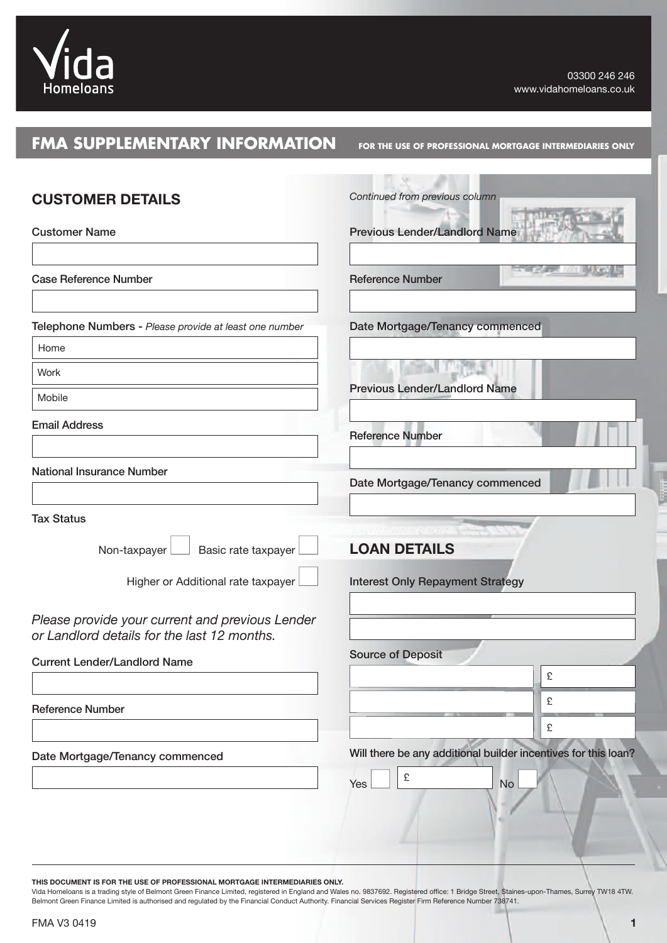

# **FMA SUPPLEMENTARY INFORMATION**

**FOR THE USE OF PROFESSIONAL MORTGAGE INTERMEDIARIES ONLY**

| <b>CUSTOMER DETAILS</b>                                                                        | Continued from previous column                                 |
|------------------------------------------------------------------------------------------------|----------------------------------------------------------------|
| <b>Customer Name</b>                                                                           | <b>Previous Lender/Landlord Name</b>                           |
| <b>Case Reference Number</b>                                                                   | <b>Reference Number</b>                                        |
| Telephone Numbers - Please provide at least one number                                         | Date Mortgage/Tenancy commenced                                |
| Home                                                                                           |                                                                |
| Work                                                                                           |                                                                |
| Mobile                                                                                         | <b>Previous Lender/Landlord Name</b>                           |
| <b>Email Address</b>                                                                           | <b>Reference Number</b>                                        |
| <b>National Insurance Number</b>                                                               | Date Mortgage/Tenancy commenced                                |
| <b>Tax Status</b>                                                                              |                                                                |
| Basic rate taxpayer<br>Non-taxpayer                                                            | <b>LOAN DETAILS</b>                                            |
| Higher or Additional rate taxpayer                                                             | <b>Interest Only Repayment Strategy</b>                        |
| Please provide your current and previous Lender<br>or Landlord details for the last 12 months. |                                                                |
| <b>Current Lender/Landlord Name</b>                                                            | <b>Source of Deposit</b>                                       |
|                                                                                                | £                                                              |
| <b>Reference Number</b>                                                                        | £                                                              |
|                                                                                                | £                                                              |
| Date Mortgage/Tenancy commenced                                                                | Will there be any additional builder incentives for this loan? |
|                                                                                                | $\pounds$<br>Yes<br><b>No</b>                                  |

**THIS DOCUMENT IS FOR THE USE OF PROFESSIONAL MORTGAGE INTERMEDIARIES ONLY.**

Vida Homeloans is a trading style of Belmont Green Finance Limited, registered in England and Wales no. 9837692. Registered office: 1 Bridge Street, Staines-upon-Thames, Surrey TW18 4TW. Belmont Green Finance Limited is authorised and regulated by the Financial Conduct Authority. Financial Services Register Firm Reference Number 738741.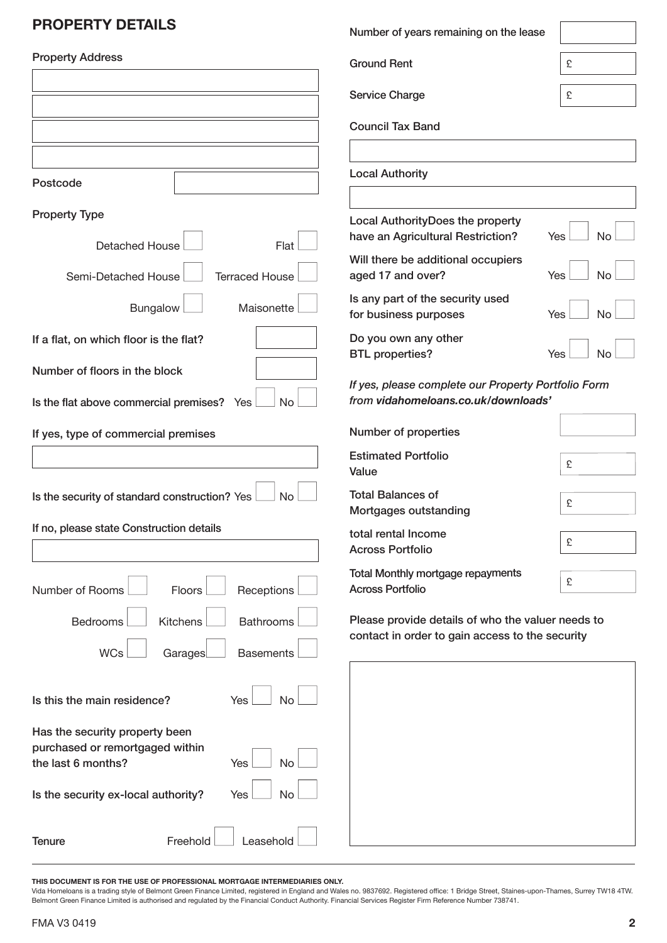# **PrOPErTY DETAILS**

| <b>PROPERTY DETAILS</b>                                                                                            | Number of years remaining on the lease                                                               |                         |
|--------------------------------------------------------------------------------------------------------------------|------------------------------------------------------------------------------------------------------|-------------------------|
| <b>Property Address</b>                                                                                            | <b>Ground Rent</b>                                                                                   | £                       |
|                                                                                                                    | Service Charge                                                                                       | £                       |
|                                                                                                                    | <b>Council Tax Band</b>                                                                              |                         |
|                                                                                                                    |                                                                                                      |                         |
| Postcode                                                                                                           | <b>Local Authority</b>                                                                               |                         |
| <b>Property Type</b>                                                                                               | Local AuthorityDoes the property                                                                     |                         |
| <b>Detached House</b><br>Flat                                                                                      | have an Agricultural Restriction?                                                                    | <b>No</b><br><b>Yes</b> |
| Semi-Detached House<br><b>Terraced House</b>                                                                       | Will there be additional occupiers<br>aged 17 and over?                                              | Yes<br>No               |
| Maisonette<br>Bungalow                                                                                             | Is any part of the security used<br>for business purposes                                            | No<br>Yes               |
| If a flat, on which floor is the flat?                                                                             | Do you own any other<br><b>BTL</b> properties?                                                       | Yes<br>No               |
| Number of floors in the block<br><b>No</b><br>Is the flat above commercial premises? Yes                           | If yes, please complete our Property Portfolio Form<br>from vidahomeloans.co.uk/downloads'           |                         |
| If yes, type of commercial premises                                                                                | Number of properties                                                                                 |                         |
|                                                                                                                    | <b>Estimated Portfolio</b><br>Value                                                                  | £                       |
| Is the security of standard construction? Yes<br><b>No</b>                                                         | <b>Total Balances of</b><br>Mortgages outstanding                                                    | £                       |
| If no, please state Construction details                                                                           | total rental Income<br><b>Across Portfolio</b>                                                       | £                       |
| Number of Rooms<br>Floors<br>Receptions                                                                            | Total Monthly mortgage repayments<br><b>Across Portfolio</b>                                         | £                       |
| Kitchens<br><b>Bathrooms</b><br>Bedrooms<br><b>WCs</b><br>Garages<br><b>Basements</b>                              | Please provide details of who the valuer needs to<br>contact in order to gain access to the security |                         |
| Is this the main residence?<br><b>No</b><br>Yes                                                                    |                                                                                                      |                         |
| Has the security property been<br>purchased or remortgaged within<br>the last 6 months?<br><b>No</b><br><b>Yes</b> |                                                                                                      |                         |
| Is the security ex-local authority?<br><b>No</b><br>Yes                                                            |                                                                                                      |                         |
| Freehold<br>Leasehold<br><b>Tenure</b>                                                                             |                                                                                                      |                         |

**THIS DOCUMENT IS FOR THE USE OF PROFESSIONAL MORTGAGE INTERMEDIARIES ONLY.**

Vida Homeloans is a trading style of Belmont Green Finance Limited, registered in England and Wales no. 9837692. Registered office: 1 Bridge Street, Staines-upon-Thames, Surrey TW18 4TW. Belmont Green Finance Limited is authorised and regulated by the Financial Conduct Authority. Financial Services Register Firm Reference Number 738741.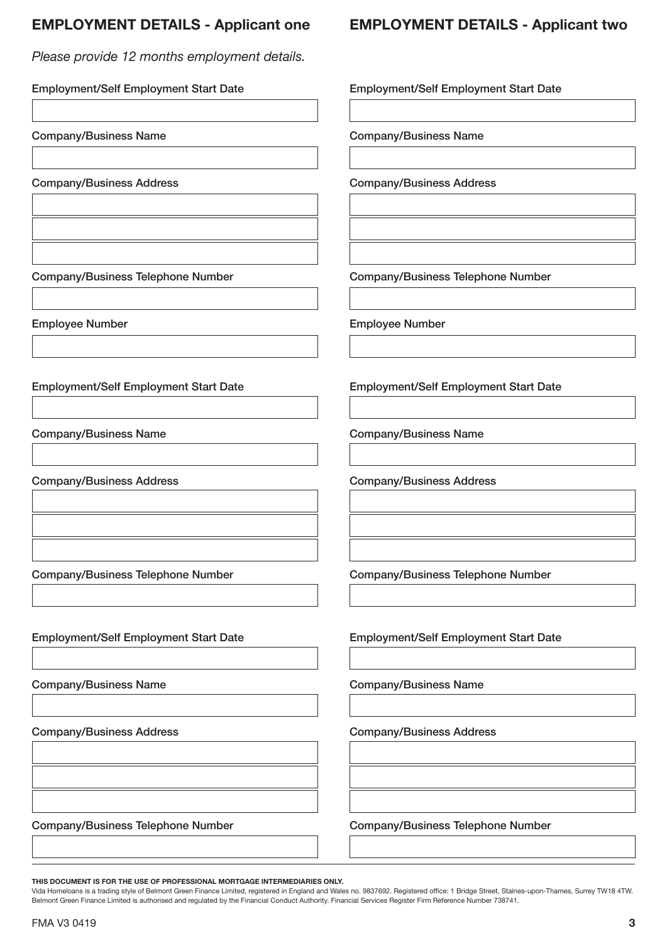## **EmPLOYmENT DETAILS - Applicant one**

*Please provide 12 months employment details.*

Employment/Self Employment Start Date Company/Business Name Company/Business Address Company/Business Telephone Number Employee Number Employment/Self Employment Start Date Company/Business Name Company/Business Address Company/Business Telephone Number Employment/Self Employment Start Date Company/Business Name Company/Business Address Employment/Self Employment Start Date Company/Business Name Company/Business Address Company/Business Telephone Number Employee Number Employment/Self Employment Start Date Company/Business Name Company/Business Address Company/Business Telephone Number Employment/Self Employment Start Date Company/Business Name Company/Business Address

Company/Business Telephone Number

**THIS DOCUMENT IS FOR THE USE OF PROFESSIONAL MORTGAGE INTERMEDIARIES ONLY.**

Company/Business Telephone Number

Vida Homeloans is a trading style of Belmont Green Finance Limited, registered in England and Wales no. 9837692. Registered office: 1 Bridge Street, Staines-upon-Thames, Surrey TW18 4TW. Belmont Green Finance Limited is authorised and regulated by the Financial Conduct Authority. Financial Services Register Firm Reference Number 738741.

# **EmPLOYmENT DETAILS - Applicant two**